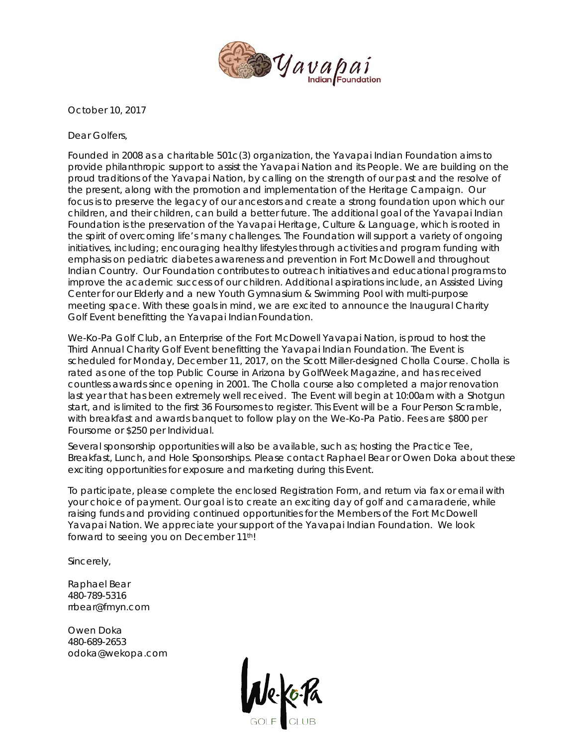

October 10, 2017

Dear Golfers,

Founded in 2008 as a charitable 501c(3) organization, the Yavapai Indian Foundation aims to provide philanthropic support to assist the Yavapai Nation and its People. We are building on the proud traditions of the Yavapai Nation, by calling on the strength of our past and the resolve of the present, along with the promotion and implementation of the Heritage Campaign. Our focus is to preserve the legacy of our ancestors and create a strong foundation upon which our children, and their children, can build a better future. The additional goal of the Yavapai Indian Foundation is the preservation of the Yavapai Heritage, Culture & Language, which is rooted in the spirit of overcoming life's many challenges. The Foundation will support a variety of ongoing initiatives, including; encouraging healthy lifestyles through activities and program funding with emphasis on pediatric diabetes awareness and prevention in Fort McDowell and throughout Indian Country. Our Foundation contributes to outreach initiatives and educational programs to improve the academic success of our children. Additional aspirations include, an Assisted Living Center for our Elderly and a new Youth Gymnasium & Swimming Pool with multi-purpose meeting space. With these goals in mind, we are excited to announce the Inaugural Charity Golf Event benefitting the Yavapai IndianFoundation.

We-Ko-Pa Golf Club, an Enterprise of the Fort McDowell Yavapai Nation, is proud to host the Third Annual Charity Golf Event benefitting the Yavapai Indian Foundation. The Event is scheduled for Monday, December 11, 2017, on the Scott Miller-designed Cholla Course. Cholla is rated as one of the top Public Course in Arizona by GolfWeek Magazine, and has received countless awards since opening in 2001. The Cholla course also completed a major renovation last year that has been extremely well received. The Event will begin at 10:00am with a Shotgun start, and is limited to the first 36 Foursomes to register. This Event will be a Four Person Scramble, with breakfast and awards banquet to follow play on the We-Ko-Pa Patio. Fees are \$800 per Foursome or \$250 per Individual.

Several sponsorship opportunities will also be available, such as; hosting the Practice Tee, Breakfast, Lunch, and Hole Sponsorships. Please contact Raphael Bear or Owen Doka about these exciting opportunities for exposure and marketing during this Event.

To participate, please complete the enclosed Registration Form, and return via fax or email with your choice of payment. Our goal is to create an exciting day of golf and camaraderie, while raising funds and providing continued opportunities for the Members of the Fort McDowell Yavapai Nation. We appreciate your support of the Yavapai Indian Foundation. We look forward to seeing you on December 11th!

Sincerely,

Raphael Bear 480-789-5316 rrbear@fmyn.com

Owen Doka 480-689-2653 odoka@wekopa.com